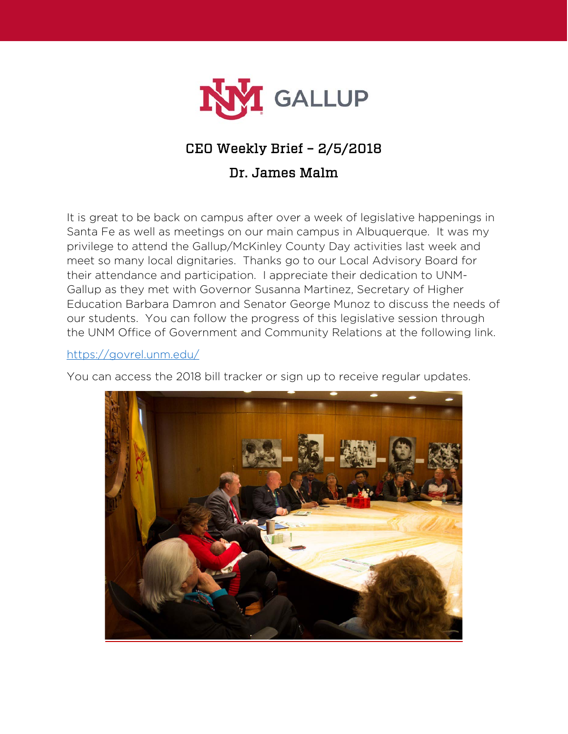

## CEO Weekly Brief – 2/5/2018

### Dr. James Malm

It is great to be back on campus after over a week of legislative happenings in Santa Fe as well as meetings on our main campus in Albuquerque. It was my privilege to attend the Gallup/McKinley County Day activities last week and meet so many local dignitaries. Thanks go to our Local Advisory Board for their attendance and participation. I appreciate their dedication to UNM-Gallup as they met with Governor Susanna Martinez, Secretary of Higher Education Barbara Damron and Senator George Munoz to discuss the needs of our students. You can follow the progress of this legislative session through the UNM Office of Government and Community Relations at the following link.

#### <https://govrel.unm.edu/>

You can access the 2018 bill tracker or sign up to receive regular updates.

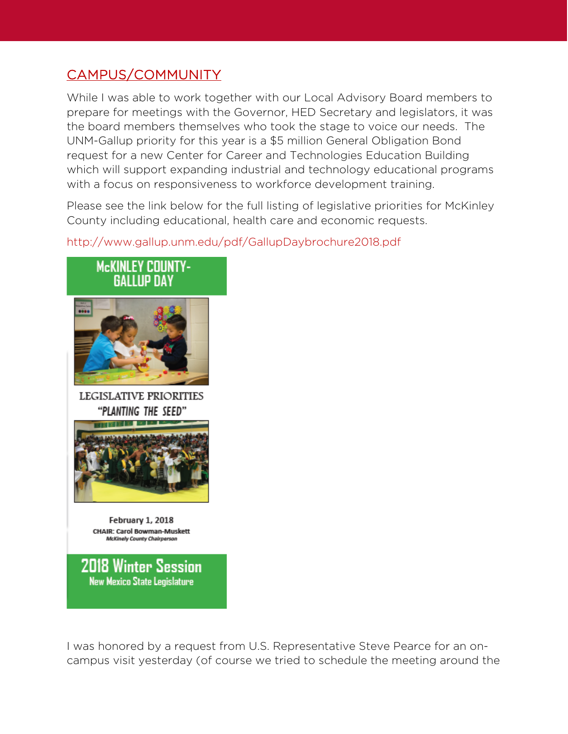# CAMPUS/COMMUNITY

While I was able to work together with our Local Advisory Board members to prepare for meetings with the Governor, HED Secretary and legislators, it was the board members themselves who took the stage to voice our needs. The UNM-Gallup priority for this year is a \$5 million General Obligation Bond request for a new Center for Career and Technologies Education Building which will support expanding industrial and technology educational programs with a focus on responsiveness to workforce development training.

Please see the link below for the full listing of legislative priorities for McKinley County including educational, health care and economic requests.

#### http://www.gallup.unm.edu/pdf/GallupDaybrochure2018.pdf



**2018 Winter Session New Mexico State Legislature** 

I was honored by a request from U.S. Representative Steve Pearce for an oncampus visit yesterday (of course we tried to schedule the meeting around the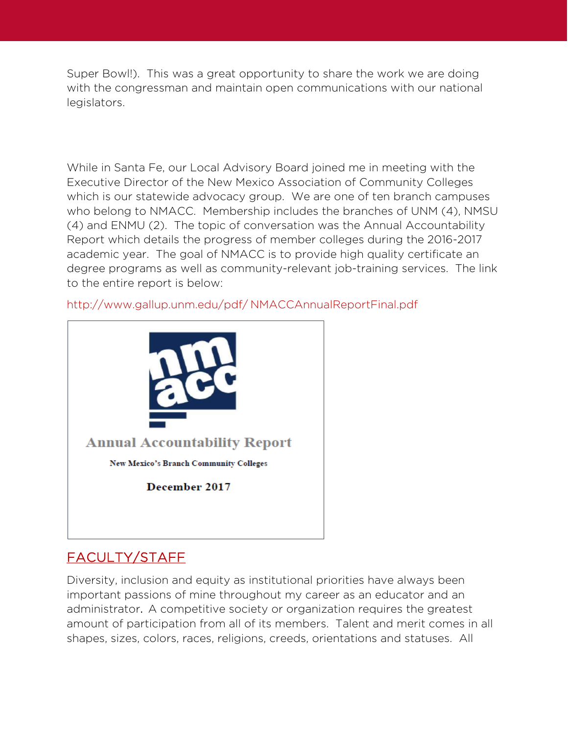Super Bowl!). This was a great opportunity to share the work we are doing with the congressman and maintain open communications with our national legislators.

While in Santa Fe, our Local Advisory Board joined me in meeting with the Executive Director of the New Mexico Association of Community Colleges which is our statewide advocacy group. We are one of ten branch campuses who belong to NMACC. Membership includes the branches of UNM (4), NMSU (4) and ENMU (2). The topic of conversation was the Annual Accountability Report which details the progress of member colleges during the 2016-2017 academic year. The goal of NMACC is to provide high quality certificate an degree programs as well as community-relevant job-training services. The link to the entire report is below:

http://www.gallup.unm.edu/pdf/ NMACCAnnualReportFinal.pdf



# FACULTY/STAFF

Diversity, inclusion and equity as institutional priorities have always been important passions of mine throughout my career as an educator and an administrator. A competitive society or organization requires the greatest amount of participation from all of its members. Talent and merit comes in all shapes, sizes, colors, races, religions, creeds, orientations and statuses. All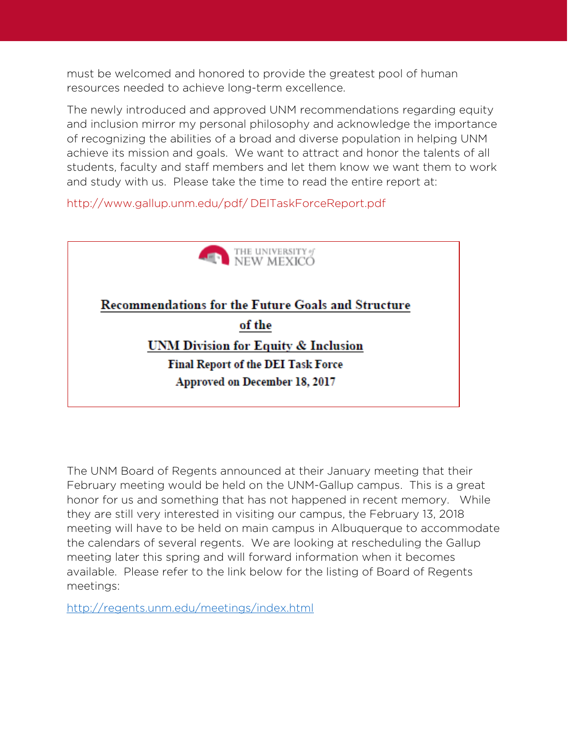must be welcomed and honored to provide the greatest pool of human resources needed to achieve long-term excellence.

The newly introduced and approved UNM recommendations regarding equity and inclusion mirror my personal philosophy and acknowledge the importance of recognizing the abilities of a broad and diverse population in helping UNM achieve its mission and goals. We want to attract and honor the talents of all students, faculty and staff members and let them know we want them to work and study with us. Please take the time to read the entire report at:

http://www.gallup.unm.edu/pdf/ DEITaskForceReport.pdf



The UNM Board of Regents announced at their January meeting that their February meeting would be held on the UNM-Gallup campus. This is a great honor for us and something that has not happened in recent memory. While they are still very interested in visiting our campus, the February 13, 2018 meeting will have to be held on main campus in Albuquerque to accommodate the calendars of several regents. We are looking at rescheduling the Gallup meeting later this spring and will forward information when it becomes available. Please refer to the link below for the listing of Board of Regents meetings:

<http://regents.unm.edu/meetings/index.html>